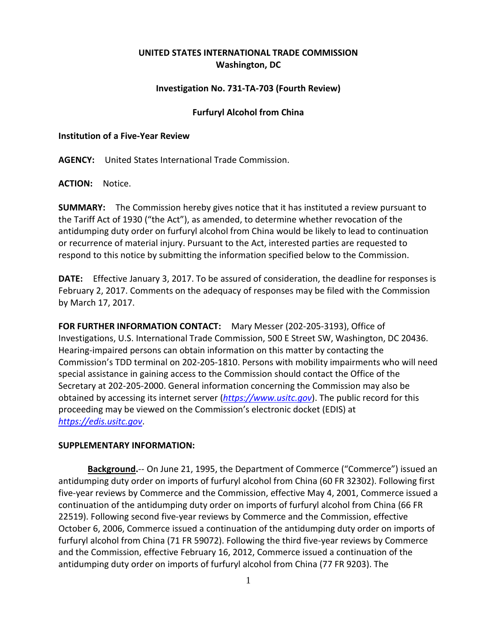# **UNITED STATES INTERNATIONAL TRADE COMMISSION Washington, DC**

## **Investigation No. 731-TA-703 (Fourth Review)**

### **Furfuryl Alcohol from China**

### **Institution of a Five-Year Review**

**AGENCY:** United States International Trade Commission.

**ACTION:** Notice.

**SUMMARY:** The Commission hereby gives notice that it has instituted a review pursuant to the Tariff Act of 1930 ("the Act"), as amended, to determine whether revocation of the antidumping duty order on furfuryl alcohol from China would be likely to lead to continuation or recurrence of material injury. Pursuant to the Act, interested parties are requested to respond to this notice by submitting the information specified below to the Commission.

**DATE:** Effective January 3, 2017. To be assured of consideration, the deadline for responses is February 2, 2017. Comments on the adequacy of responses may be filed with the Commission by March 17, 2017.

**FOR FURTHER INFORMATION CONTACT:** Mary Messer (202-205-3193), Office of Investigations, U.S. International Trade Commission, 500 E Street SW, Washington, DC 20436. Hearing-impaired persons can obtain information on this matter by contacting the Commission's TDD terminal on 202-205-1810. Persons with mobility impairments who will need special assistance in gaining access to the Commission should contact the Office of the Secretary at 202-205-2000. General information concerning the Commission may also be obtained by accessing its internet server (*[https://www.usitc.gov](https://www.usitc.gov/)*). The public record for this proceeding may be viewed on the Commission's electronic docket (EDIS) at *[https://edis.usitc.gov](https://edis.usitc.gov/)*.

### **SUPPLEMENTARY INFORMATION:**

**Background.**-- On June 21, 1995, the Department of Commerce ("Commerce") issued an antidumping duty order on imports of furfuryl alcohol from China (60 FR 32302). Following first five-year reviews by Commerce and the Commission, effective May 4, 2001, Commerce issued a continuation of the antidumping duty order on imports of furfuryl alcohol from China (66 FR 22519). Following second five-year reviews by Commerce and the Commission, effective October 6, 2006, Commerce issued a continuation of the antidumping duty order on imports of furfuryl alcohol from China (71 FR 59072). Following the third five-year reviews by Commerce and the Commission, effective February 16, 2012, Commerce issued a continuation of the antidumping duty order on imports of furfuryl alcohol from China (77 FR 9203). The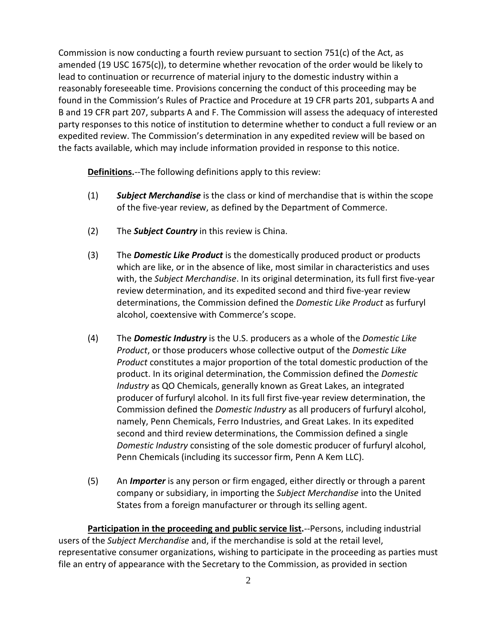Commission is now conducting a fourth review pursuant to section  $751(c)$  of the Act, as amended (19 USC 1675(c)), to determine whether revocation of the order would be likely to lead to continuation or recurrence of material injury to the domestic industry within a reasonably foreseeable time. Provisions concerning the conduct of this proceeding may be found in the Commission's Rules of Practice and Procedure at 19 CFR parts 201, subparts A and B and 19 CFR part 207, subparts A and F. The Commission will assess the adequacy of interested party responses to this notice of institution to determine whether to conduct a full review or an expedited review. The Commission's determination in any expedited review will be based on the facts available, which may include information provided in response to this notice.

**Definitions.**--The following definitions apply to this review:

- (1) *Subject Merchandise* is the class or kind of merchandise that is within the scope of the five-year review, as defined by the Department of Commerce.
- (2) The *Subject Country* in this review is China.
- (3) The *Domestic Like Product* is the domestically produced product or products which are like, or in the absence of like, most similar in characteristics and uses with, the *Subject Merchandise*. In its original determination, its full first five-year review determination, and its expedited second and third five-year review determinations, the Commission defined the *Domestic Like Product* as furfuryl alcohol, coextensive with Commerce's scope.
- (4) The *Domestic Industry* is the U.S. producers as a whole of the *Domestic Like Product*, or those producers whose collective output of the *Domestic Like Product* constitutes a major proportion of the total domestic production of the product. In its original determination, the Commission defined the *Domestic Industry* as QO Chemicals, generally known as Great Lakes, an integrated producer of furfuryl alcohol. In its full first five-year review determination, the Commission defined the *Domestic Industry* as all producers of furfuryl alcohol, namely, Penn Chemicals, Ferro Industries, and Great Lakes. In its expedited second and third review determinations, the Commission defined a single *Domestic Industry* consisting of the sole domestic producer of furfuryl alcohol, Penn Chemicals (including its successor firm, Penn A Kem LLC).
- (5) An *Importer* is any person or firm engaged, either directly or through a parent company or subsidiary, in importing the *Subject Merchandise* into the United States from a foreign manufacturer or through its selling agent.

**Participation in the proceeding and public service list.**--Persons, including industrial users of the *Subject Merchandise* and, if the merchandise is sold at the retail level, representative consumer organizations, wishing to participate in the proceeding as parties must file an entry of appearance with the Secretary to the Commission, as provided in section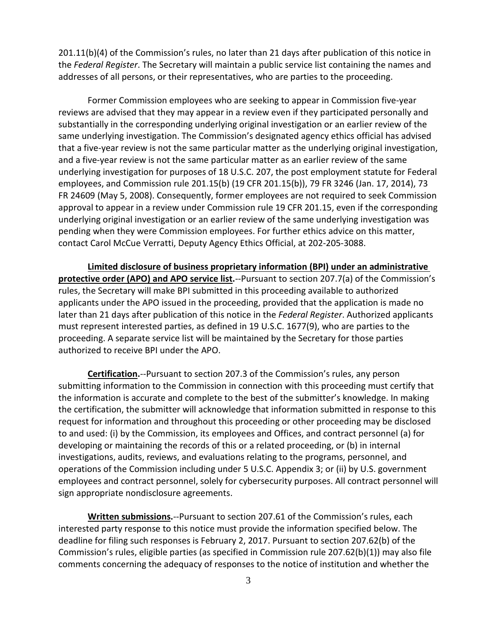201.11(b)(4) of the Commission's rules, no later than 21 days after publication of this notice in the *Federal Register*. The Secretary will maintain a public service list containing the names and addresses of all persons, or their representatives, who are parties to the proceeding.

Former Commission employees who are seeking to appear in Commission five-year reviews are advised that they may appear in a review even if they participated personally and substantially in the corresponding underlying original investigation or an earlier review of the same underlying investigation. The Commission's designated agency ethics official has advised that a five-year review is not the same particular matter as the underlying original investigation, and a five-year review is not the same particular matter as an earlier review of the same underlying investigation for purposes of 18 U.S.C. 207, the post employment statute for Federal employees, and Commission rule 201.15(b) (19 CFR 201.15(b)), 79 FR 3246 (Jan. 17, 2014), 73 FR 24609 (May 5, 2008). Consequently, former employees are not required to seek Commission approval to appear in a review under Commission rule 19 CFR 201.15, even if the corresponding underlying original investigation or an earlier review of the same underlying investigation was pending when they were Commission employees. For further ethics advice on this matter, contact Carol McCue Verratti, Deputy Agency Ethics Official, at 202-205-3088.

**Limited disclosure of business proprietary information (BPI) under an administrative protective order (APO) and APO service list.**--Pursuant to section 207.7(a) of the Commission's rules, the Secretary will make BPI submitted in this proceeding available to authorized applicants under the APO issued in the proceeding, provided that the application is made no later than 21 days after publication of this notice in the *Federal Register*. Authorized applicants must represent interested parties, as defined in 19 U.S.C. 1677(9), who are parties to the proceeding. A separate service list will be maintained by the Secretary for those parties authorized to receive BPI under the APO.

**Certification.**--Pursuant to section 207.3 of the Commission's rules, any person submitting information to the Commission in connection with this proceeding must certify that the information is accurate and complete to the best of the submitter's knowledge. In making the certification, the submitter will acknowledge that information submitted in response to this request for information and throughout this proceeding or other proceeding may be disclosed to and used: (i) by the Commission, its employees and Offices, and contract personnel (a) for developing or maintaining the records of this or a related proceeding, or (b) in internal investigations, audits, reviews, and evaluations relating to the programs, personnel, and operations of the Commission including under 5 U.S.C. Appendix 3; or (ii) by U.S. government employees and contract personnel, solely for cybersecurity purposes. All contract personnel will sign appropriate nondisclosure agreements.

**Written submissions.**--Pursuant to section 207.61 of the Commission's rules, each interested party response to this notice must provide the information specified below. The deadline for filing such responses is February 2, 2017. Pursuant to section 207.62(b) of the Commission's rules, eligible parties (as specified in Commission rule 207.62(b)(1)) may also file comments concerning the adequacy of responses to the notice of institution and whether the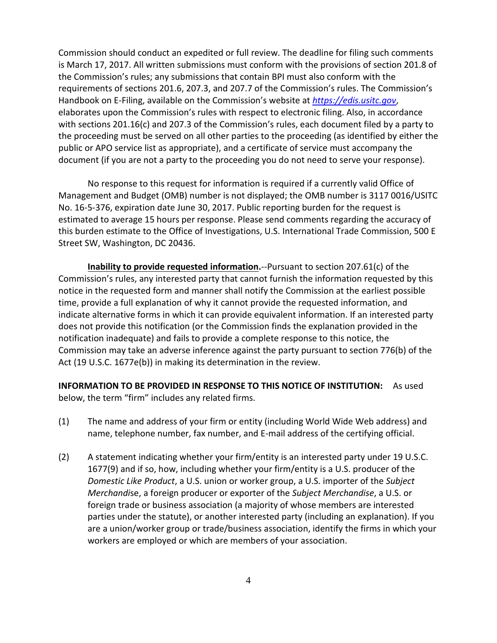Commission should conduct an expedited or full review. The deadline for filing such comments is March 17, 2017. All written submissions must conform with the provisions of section 201.8 of the Commission's rules; any submissions that contain BPI must also conform with the requirements of sections 201.6, 207.3, and 207.7 of the Commission's rules. The Commission's Handbook on E-Filing, available on the Commission's website at *[https://edis.usitc.gov](https://edis.usitc.gov/)*, elaborates upon the Commission's rules with respect to electronic filing. Also, in accordance with sections 201.16(c) and 207.3 of the Commission's rules, each document filed by a party to the proceeding must be served on all other parties to the proceeding (as identified by either the public or APO service list as appropriate), and a certificate of service must accompany the document (if you are not a party to the proceeding you do not need to serve your response).

No response to this request for information is required if a currently valid Office of Management and Budget (OMB) number is not displayed; the OMB number is 3117 0016/USITC No. 16-5-376, expiration date June 30, 2017. Public reporting burden for the request is estimated to average 15 hours per response. Please send comments regarding the accuracy of this burden estimate to the Office of Investigations, U.S. International Trade Commission, 500 E Street SW, Washington, DC 20436.

**Inability to provide requested information.**--Pursuant to section 207.61(c) of the Commission's rules, any interested party that cannot furnish the information requested by this notice in the requested form and manner shall notify the Commission at the earliest possible time, provide a full explanation of why it cannot provide the requested information, and indicate alternative forms in which it can provide equivalent information. If an interested party does not provide this notification (or the Commission finds the explanation provided in the notification inadequate) and fails to provide a complete response to this notice, the Commission may take an adverse inference against the party pursuant to section 776(b) of the Act (19 U.S.C. 1677e(b)) in making its determination in the review.

**INFORMATION TO BE PROVIDED IN RESPONSE TO THIS NOTICE OF INSTITUTION:** As used below, the term "firm" includes any related firms.

- (1) The name and address of your firm or entity (including World Wide Web address) and name, telephone number, fax number, and E-mail address of the certifying official.
- (2) A statement indicating whether your firm/entity is an interested party under 19 U.S.C. 1677(9) and if so, how, including whether your firm/entity is a U.S. producer of the *Domestic Like Product*, a U.S. union or worker group, a U.S. importer of the *Subject Merchandi*se, a foreign producer or exporter of the *Subject Merchandise*, a U.S. or foreign trade or business association (a majority of whose members are interested parties under the statute), or another interested party (including an explanation). If you are a union/worker group or trade/business association, identify the firms in which your workers are employed or which are members of your association.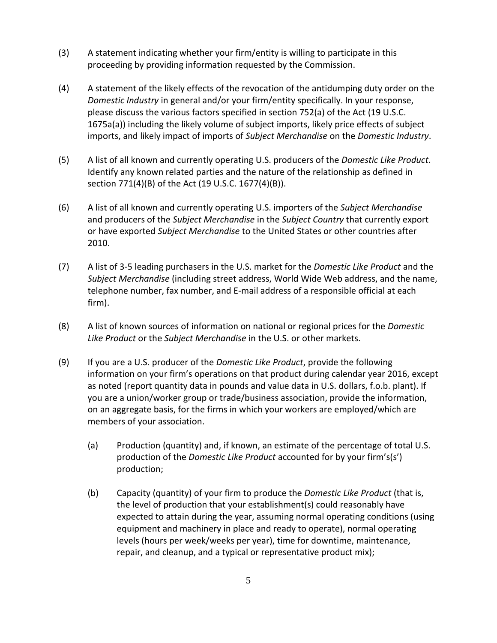- (3) A statement indicating whether your firm/entity is willing to participate in this proceeding by providing information requested by the Commission.
- (4) A statement of the likely effects of the revocation of the antidumping duty order on the *Domestic Industry* in general and/or your firm/entity specifically. In your response, please discuss the various factors specified in section 752(a) of the Act (19 U.S.C. 1675a(a)) including the likely volume of subject imports, likely price effects of subject imports, and likely impact of imports of *Subject Merchandise* on the *Domestic Industry*.
- (5) A list of all known and currently operating U.S. producers of the *Domestic Like Product*. Identify any known related parties and the nature of the relationship as defined in section 771(4)(B) of the Act (19 U.S.C. 1677(4)(B)).
- (6) A list of all known and currently operating U.S. importers of the *Subject Merchandise* and producers of the *Subject Merchandise* in the *Subject Country* that currently export or have exported *Subject Merchandise* to the United States or other countries after 2010.
- (7) A list of 3-5 leading purchasers in the U.S. market for the *Domestic Like Product* and the *Subject Merchandise* (including street address, World Wide Web address, and the name, telephone number, fax number, and E-mail address of a responsible official at each firm).
- (8) A list of known sources of information on national or regional prices for the *Domestic Like Product* or the *Subject Merchandise* in the U.S. or other markets.
- (9) If you are a U.S. producer of the *Domestic Like Product*, provide the following information on your firm's operations on that product during calendar year 2016, except as noted (report quantity data in pounds and value data in U.S. dollars, f.o.b. plant). If you are a union/worker group or trade/business association, provide the information, on an aggregate basis, for the firms in which your workers are employed/which are members of your association.
	- (a) Production (quantity) and, if known, an estimate of the percentage of total U.S. production of the *Domestic Like Product* accounted for by your firm's(s') production;
	- (b) Capacity (quantity) of your firm to produce the *Domestic Like Product* (that is, the level of production that your establishment(s) could reasonably have expected to attain during the year, assuming normal operating conditions (using equipment and machinery in place and ready to operate), normal operating levels (hours per week/weeks per year), time for downtime, maintenance, repair, and cleanup, and a typical or representative product mix);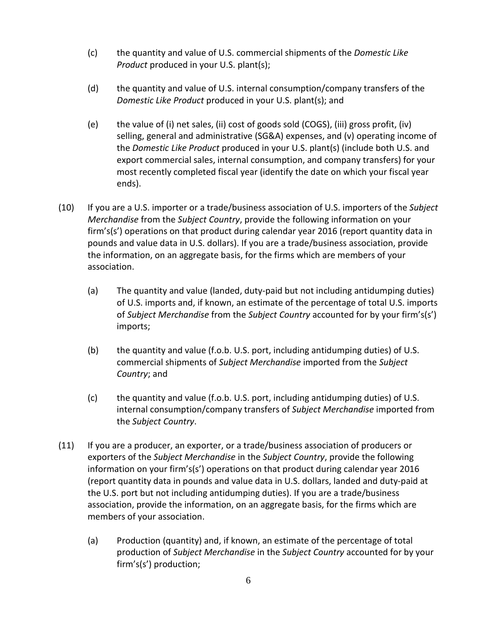- (c) the quantity and value of U.S. commercial shipments of the *Domestic Like Product* produced in your U.S. plant(s);
- (d) the quantity and value of U.S. internal consumption/company transfers of the *Domestic Like Product* produced in your U.S. plant(s); and
- (e) the value of (i) net sales, (ii) cost of goods sold (COGS), (iii) gross profit, (iv) selling, general and administrative (SG&A) expenses, and (v) operating income of the *Domestic Like Product* produced in your U.S. plant(s) (include both U.S. and export commercial sales, internal consumption, and company transfers) for your most recently completed fiscal year (identify the date on which your fiscal year ends).
- (10) If you are a U.S. importer or a trade/business association of U.S. importers of the *Subject Merchandise* from the *Subject Country*, provide the following information on your firm's(s') operations on that product during calendar year 2016 (report quantity data in pounds and value data in U.S. dollars). If you are a trade/business association, provide the information, on an aggregate basis, for the firms which are members of your association.
	- (a) The quantity and value (landed, duty-paid but not including antidumping duties) of U.S. imports and, if known, an estimate of the percentage of total U.S. imports of *Subject Merchandise* from the *Subject Country* accounted for by your firm's(s') imports;
	- (b) the quantity and value (f.o.b. U.S. port, including antidumping duties) of U.S. commercial shipments of *Subject Merchandise* imported from the *Subject Country*; and
	- (c) the quantity and value (f.o.b. U.S. port, including antidumping duties) of U.S. internal consumption/company transfers of *Subject Merchandise* imported from the *Subject Country*.
- (11) If you are a producer, an exporter, or a trade/business association of producers or exporters of the *Subject Merchandise* in the *Subject Country*, provide the following information on your firm's(s') operations on that product during calendar year 2016 (report quantity data in pounds and value data in U.S. dollars, landed and duty-paid at the U.S. port but not including antidumping duties). If you are a trade/business association, provide the information, on an aggregate basis, for the firms which are members of your association.
	- (a) Production (quantity) and, if known, an estimate of the percentage of total production of *Subject Merchandise* in the *Subject Country* accounted for by your firm's(s') production;